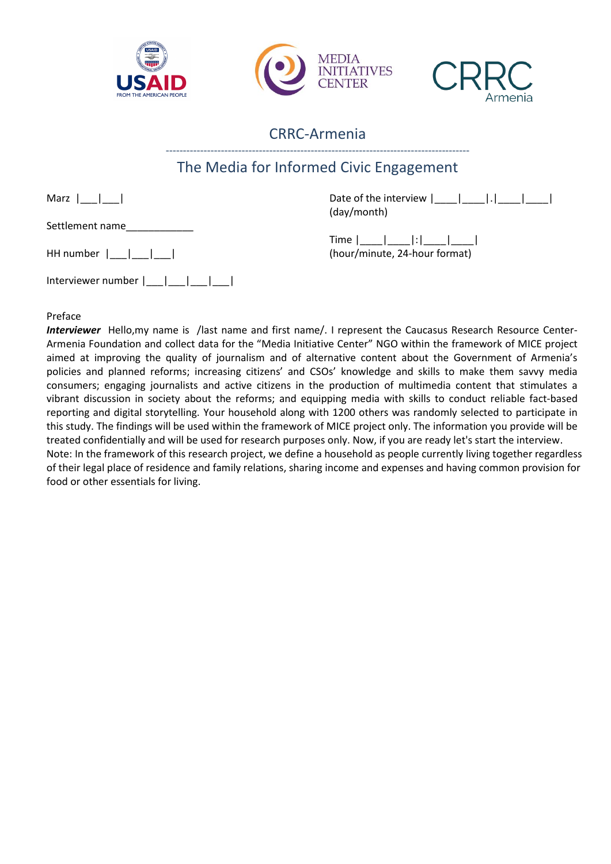





# CRRC-Armenia

# ---------------------------------------------------------------------------------------- The Media for Informed Civic Engagement

Marz | | |

Settlement name

HH number  $|$  |  $|$  |  $|$ 

Interviewer number | | | | |

Date of the interview  $|\_$ |\_\_\_|.|\_\_|\_\_| (day/month)

Time |\_\_\_\_|\_\_\_\_|:|\_\_\_\_|\_\_\_\_| (hour/minute, 24-hour format)

### Preface

*Interviewer* Hello,my name is /last name and first name/. I represent the Caucasus Research Resource Center-Armenia Foundation and collect data for the "Media Initiative Center" NGO within the framework of MICE project aimed at improving the quality of journalism and of alternative content about the Government of Armenia's policies and planned reforms; increasing citizens' and CSOs' knowledge and skills to make them savvy media consumers; engaging journalists and active citizens in the production of multimedia content that stimulates a vibrant discussion in society about the reforms; and equipping media with skills to conduct reliable fact-based reporting and digital storytelling. Your household along with 1200 others was randomly selected to participate in this study. The findings will be used within the framework of MICE project only. The information you provide will be treated confidentially and will be used for research purposes only. Now, if you are ready let's start the interview. Note: In the framework of this research project, we define a household as people currently living together regardless of their legal place of residence and family relations, sharing income and expenses and having common provision for food or other essentials for living.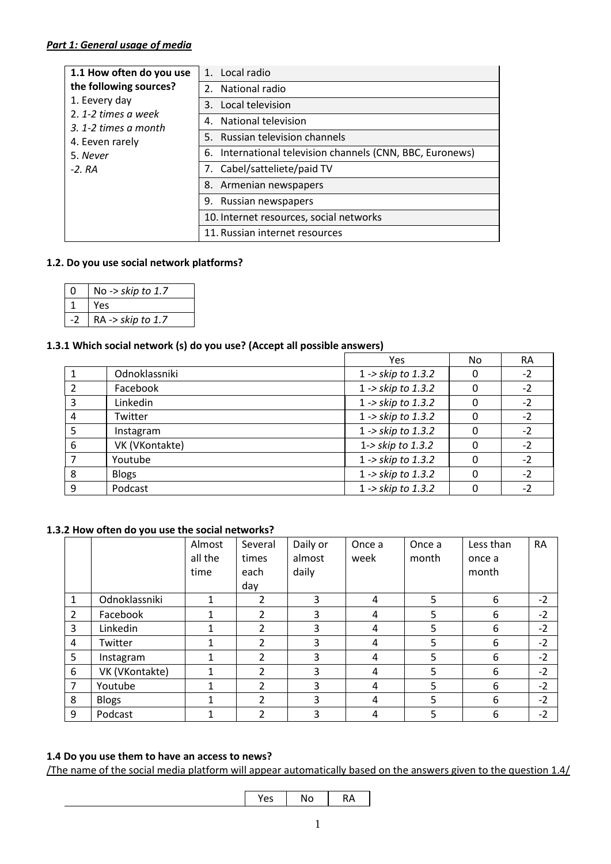## *Part 1: General usage of media*

| 1.1 How often do you use                       | Local radio<br>$1_{-}$                                       |
|------------------------------------------------|--------------------------------------------------------------|
| the following sources?                         | National radio<br>$2^{\circ}$                                |
| 1. Eevery day                                  | 3. Local television                                          |
| 2. 1-2 times a week<br>$3.1 - 2$ times a month | National television<br>4.                                    |
| 4. Eeven rarely                                | 5. Russian television channels                               |
| 5. Never                                       | International television channels (CNN, BBC, Euronews)<br>6. |
| $-2.RA$                                        | Cabel/satteliete/paid TV<br>7.                               |
|                                                | 8. Armenian newspapers                                       |
|                                                | 9. Russian newspapers                                        |
|                                                | 10. Internet resources, social networks                      |
|                                                | 11. Russian internet resources                               |

## **1.2. Do you use social network platforms?**

| O | No -> skip to $1.7$ |
|---|---------------------|
|   | Yes                 |
|   | $RA$ -> skip to 1.7 |

## **1.3.1 Which social network (s) do you use? (Accept all possible answers)**

|   |                | Yes                  | No | <b>RA</b> |
|---|----------------|----------------------|----|-----------|
|   | Odnoklassniki  | 1 -> skip to $1.3.2$ | 0  | $-2$      |
|   | Facebook       | 1 -> skip to $1.3.2$ | 0  | $-2$      |
| 3 | Linkedin       | 1 -> skip to $1.3.2$ | 0  | $-2$      |
| 4 | Twitter        | 1 -> skip to $1.3.2$ | 0  | $-2$      |
|   | Instagram      | 1 -> skip to $1.3.2$ | 0  | $-2$      |
| 6 | VK (VKontakte) | 1-> skip to $1.3.2$  | 0  | $-2$      |
|   | Youtube        | 1 -> skip to $1.3.2$ | 0  | $-2$      |
| 8 | <b>Blogs</b>   | 1 -> skip to $1.3.2$ | 0  | $-2$      |
| 9 | Podcast        | 1 -> skip to $1.3.2$ | 0  | $-2$      |

#### **1.3.2 How often do you use the social networks?**

|                |                | Almost  | Several        | Daily or | Once a | Once a | Less than | <b>RA</b> |
|----------------|----------------|---------|----------------|----------|--------|--------|-----------|-----------|
|                |                | all the | times          | almost   | week   | month  | once a    |           |
|                |                | time    | each           | daily    |        |        | month     |           |
|                |                |         | day            |          |        |        |           |           |
| 1              | Odnoklassniki  | 1       | $\overline{2}$ | 3        | 4      | 5      | 6         | $-2$      |
| $\overline{2}$ | Facebook       | 1       | $\overline{2}$ | 3        | 4      | 5      | 6         | $-2$      |
| 3              | Linkedin       | 1       | $\overline{2}$ | 3        | 4      | 5      | 6         | $-2$      |
| 4              | Twitter        | 1       | $\overline{2}$ | 3        | 4      | 5      | 6         | $-2$      |
| 5              | Instagram      | 1       | $\overline{2}$ | 3        | 4      | 5      | 6         | $-2$      |
| 6              | VK (VKontakte) | 1       | $\overline{2}$ | 3        | 4      | 5      | 6         | $-2$      |
| $\overline{7}$ | Youtube        |         | $\overline{2}$ | 3        | 4      | 5      | 6         | $-2$      |
| 8              | <b>Blogs</b>   | 1       | $\overline{2}$ | 3        | 4      | 5      | 6         | $-2$      |
| 9              | Podcast        |         | $\overline{2}$ | 3        | 4      | 5      | 6         | $-2$      |

## **1.4 Do you use them to have an access to news?**

/The name of the social media platform will appear automatically based on the answers given to the question 1.4/

$$
\begin{array}{|c|c|c|c|c|c|}\n\hline\n\text{Yes} & \text{No} & \text{RA}\n\end{array}
$$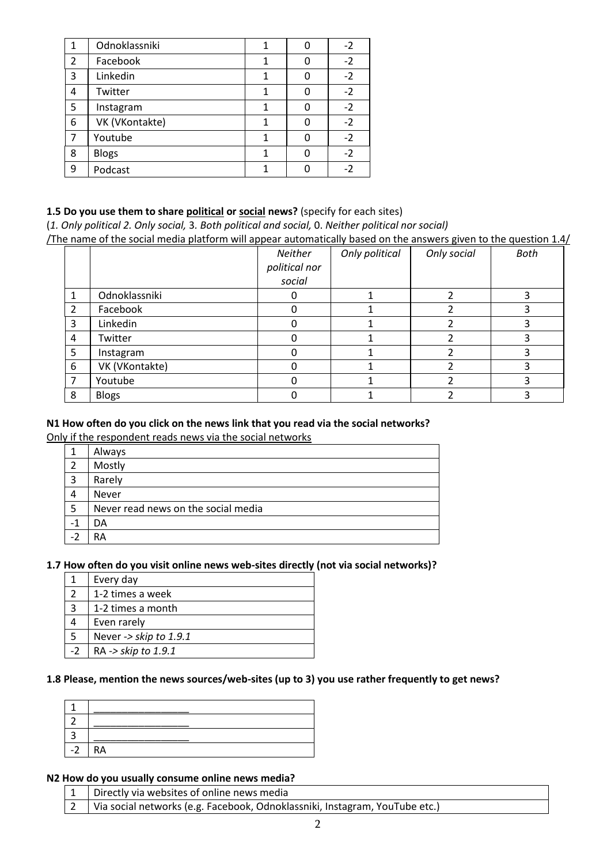| 1 | Odnoklassniki  |   | $-2$ |
|---|----------------|---|------|
| 2 | Facebook       | 1 | $-2$ |
| 3 | Linkedin       | 1 | $-2$ |
| 4 | Twitter        | 1 | $-2$ |
| 5 | Instagram      | 1 | $-2$ |
| 6 | VK (VKontakte) | 1 | $-2$ |
| 7 | Youtube        |   | $-2$ |
| 8 | <b>Blogs</b>   |   | $-2$ |
| 9 | Podcast        |   | $-2$ |

### **1.5 Do you use them to share political or social news?** (specify for each sites)

(*1. Only political 2. Only social,* 3*. Both political and social,* 0. *Neither political nor social)* /The name of the social media platform will appear automatically based on the answers given to the question 1.4/

|                |                | Neither       | Only political | Only social | Both     |
|----------------|----------------|---------------|----------------|-------------|----------|
|                |                | political nor |                |             |          |
|                |                | social        |                |             |          |
| 1              | Odnoklassniki  | 0             |                |             | <u>ว</u> |
| $\overline{2}$ | Facebook       |               |                |             |          |
| 3              | Linkedin       |               |                |             |          |
| 4              | Twitter        |               |                |             |          |
| 5              | Instagram      |               |                |             |          |
| 6              | VK (VKontakte) |               |                |             |          |
| 7              | Youtube        |               |                |             |          |
| 8              | <b>Blogs</b>   |               |                |             |          |

## **N1 How often do you click on the news link that you read via the social networks?**

Only if the respondent reads news via the social networks

| 1              | Always                              |
|----------------|-------------------------------------|
| 2              | Mostly                              |
| $\overline{3}$ | Rarely                              |
| 4              | <b>Never</b>                        |
| -5             | Never read news on the social media |
| $-1$           | DA                                  |
|                | RA                                  |

### **1.7 How often do you visit online news web-sites directly (not via social networks)?**

|      | Every day              |
|------|------------------------|
|      | 1-2 times a week       |
| 3    | 1-2 times a month      |
|      | Even rarely            |
| -5   | Never -> skip to 1.9.1 |
| $-2$ | RA -> skip to 1.9.1    |

#### **1.8 Please, mention the news sources/web-sites (up to 3) you use rather frequently to get news?**

| $-2$ | R |
|------|---|

#### **N2 How do you usually consume online news media?**

| 1   Directly via websites of online news media                                  |
|---------------------------------------------------------------------------------|
| 2   Via social networks (e.g. Facebook, Odnoklassniki, Instagram, YouTube etc.) |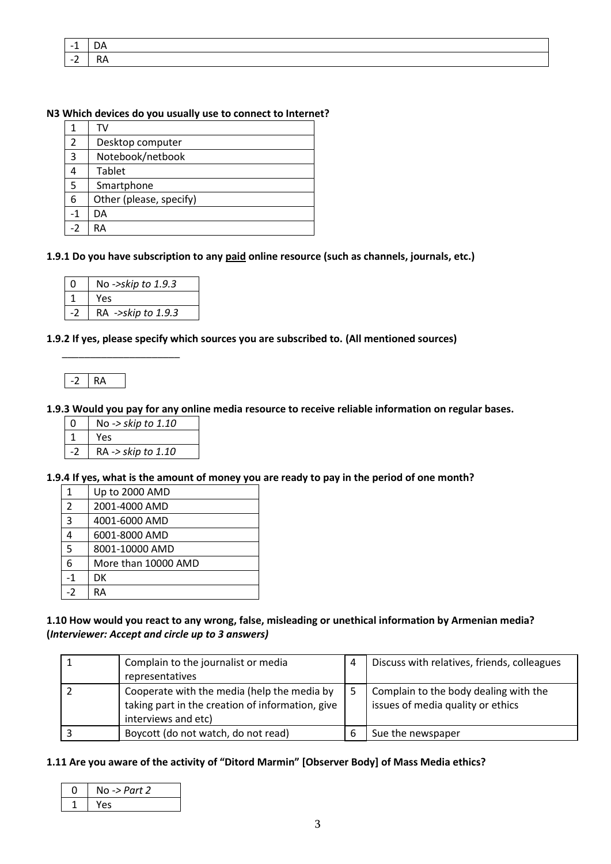| $\overline{\phantom{0}}$<br>. .                |  |
|------------------------------------------------|--|
| $\rightarrow$<br>$\overline{\phantom{a}}$<br>- |  |

#### **N3 Which devices do you usually use to connect to Internet?**

|               | TV                      |
|---------------|-------------------------|
| $\mathcal{P}$ | Desktop computer        |
| 3             | Notebook/netbook        |
|               | Tablet                  |
| 5             | Smartphone              |
| 6             | Other (please, specify) |
| $-1$          | DA                      |
|               | RΔ                      |

**1.9.1 Do you have subscription to any paid online resource (such as channels, journals, etc.)**

| No ->skip to 1.9.3 |
|--------------------|
| Yes                |
| RA ->skip to 1.9.3 |
|                    |

**1.9.2 If yes, please specify which sources you are subscribed to. (All mentioned sources)**

 $\frac{1}{\sqrt{2}}$  ,  $\frac{1}{\sqrt{2}}$  ,  $\frac{1}{\sqrt{2}}$  ,  $\frac{1}{\sqrt{2}}$  ,  $\frac{1}{\sqrt{2}}$  ,  $\frac{1}{\sqrt{2}}$  ,  $\frac{1}{\sqrt{2}}$  ,  $\frac{1}{\sqrt{2}}$  ,  $\frac{1}{\sqrt{2}}$  ,  $\frac{1}{\sqrt{2}}$  ,  $\frac{1}{\sqrt{2}}$  ,  $\frac{1}{\sqrt{2}}$  ,  $\frac{1}{\sqrt{2}}$  ,  $\frac{1}{\sqrt{2}}$  ,  $\frac{1}{\sqrt{2}}$ 

#### **1.9.3 Would you pay for any online media resource to receive reliable information on regular bases.**

| <sup>n</sup> | No $\rightarrow$ skip to 1.10 |
|--------------|-------------------------------|
|              | Yes                           |
| -7           | RA -> skip to 1.10            |

#### **1.9.4 If yes, what is the amount of money you are ready to pay in the period of one month?**

| 1              | Up to 2000 AMD      |
|----------------|---------------------|
| $\overline{2}$ | 2001-4000 AMD       |
| 3              | 4001-6000 AMD       |
| 4              | 6001-8000 AMD       |
| 5              | 8001-10000 AMD      |
| 6              | More than 10000 AMD |
| $-1$           | DK                  |
| $-2$           | RА                  |

**1.10 How would you react to any wrong, false, misleading or unethical information by Armenian media? (***Interviewer: Accept and circle up to 3 answers)*

| Complain to the journalist or media                                                                                    | 4 | Discuss with relatives, friends, colleagues                                |
|------------------------------------------------------------------------------------------------------------------------|---|----------------------------------------------------------------------------|
| representatives                                                                                                        |   |                                                                            |
| Cooperate with the media (help the media by<br>taking part in the creation of information, give<br>interviews and etc) |   | Complain to the body dealing with the<br>issues of media quality or ethics |
| Boycott (do not watch, do not read)                                                                                    | 6 | Sue the newspaper                                                          |

**1.11 Are you aware of the activity of "Ditord Marmin" [Observer Body] of Mass Media ethics?**

| No $\rightarrow$ Part 2 |
|-------------------------|
| ⊷                       |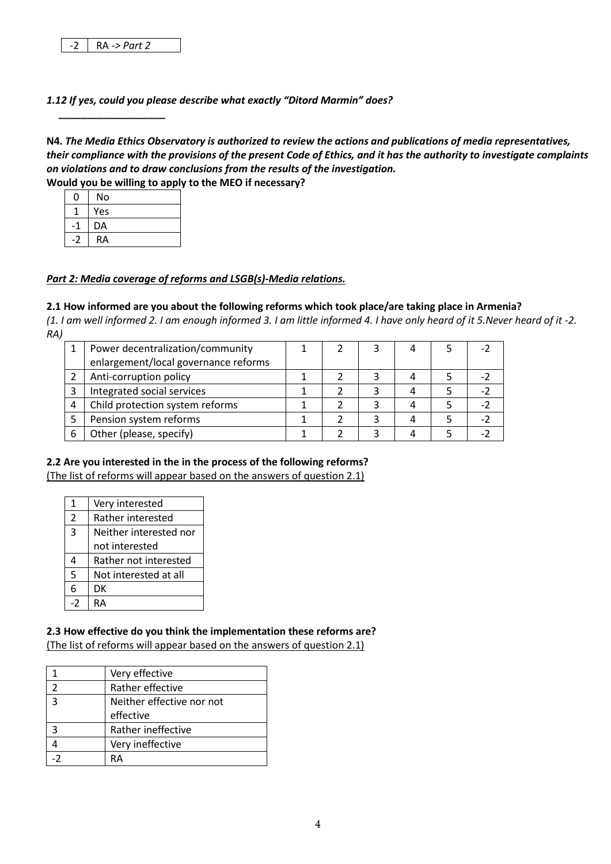

 *\_\_\_\_\_\_\_\_\_\_\_\_\_\_\_\_\_\_\_*

*1.12 If yes, could you please describe what exactly "Ditord Marmin" does?* 

**N4.** *The Media Ethics Observatory is authorized to review the actions and publications of media representatives, their compliance with the provisions of the present Code of Ethics, and it has the authority to investigate complaints on violations and to draw conclusions from the results of the investigation.* **Would you be willing to apply to the MEO if necessary?**

| 0 | No        |  |
|---|-----------|--|
|   | Yes       |  |
|   | DA        |  |
|   | <b>RA</b> |  |

### *Part 2: Media coverage of reforms and LSGB(s)-Media relations.*

### **2.1 How informed are you about the following reforms which took place/are taking place in Armenia?**

*(1. I am well informed 2. I am enough informed 3. I am little informed 4. I have only heard of it 5.Never heard of it -2. RA)*

|   | Power decentralization/community     |  | 4 |  |
|---|--------------------------------------|--|---|--|
|   | enlargement/local governance reforms |  |   |  |
|   | Anti-corruption policy               |  |   |  |
|   | Integrated social services           |  | 4 |  |
| 4 | Child protection system reforms      |  |   |  |
|   | Pension system reforms               |  |   |  |
| 6 | Other (please, specify)              |  |   |  |

#### **2.2 Are you interested in the in the process of the following reforms?**

(The list of reforms will appear based on the answers of question 2.1)

| 1            | Very interested        |
|--------------|------------------------|
| 2            | Rather interested      |
| $\mathbf{3}$ | Neither interested nor |
|              | not interested         |
| 4            | Rather not interested  |
| 5            | Not interested at all  |
| 6            | DK                     |
| - 2          | RА                     |

## **2.3 How effective do you think the implementation these reforms are?**

(The list of reforms will appear based on the answers of question 2.1)

|                         | Very effective            |
|-------------------------|---------------------------|
|                         | Rather effective          |
| $\overline{\mathbf{z}}$ | Neither effective nor not |
|                         | effective                 |
| 3                       | Rather ineffective        |
|                         | Very ineffective          |
|                         | RΔ                        |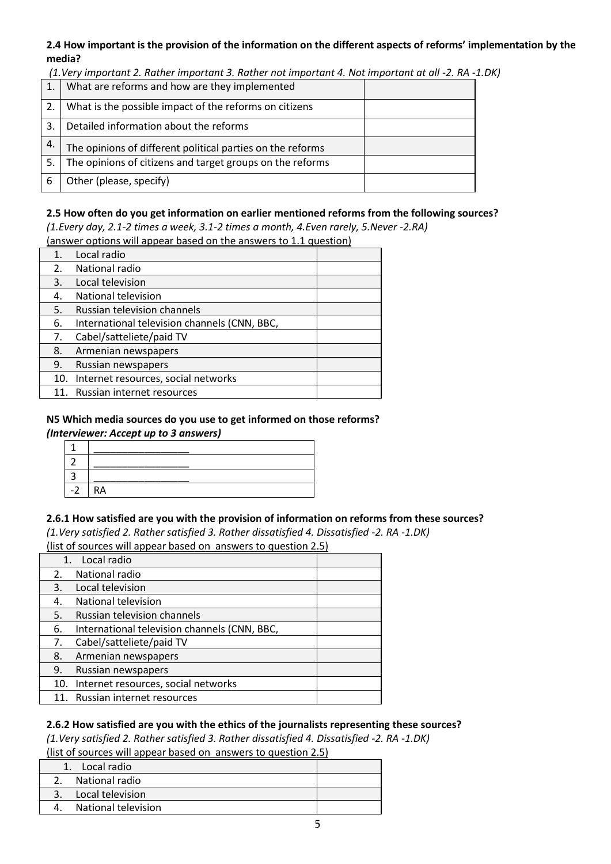## **2.4 How important is the provision of the information on the different aspects of reforms' implementation by the media?**

*(1.Very important 2. Rather important 3. Rather not important 4. Not important at all -2. RA -1.DK)*

| 1. | What are reforms and how are they implemented              |  |
|----|------------------------------------------------------------|--|
| 2. | What is the possible impact of the reforms on citizens     |  |
| 3. | Detailed information about the reforms                     |  |
| 4. | The opinions of different political parties on the reforms |  |
| 5. | The opinions of citizens and target groups on the reforms  |  |
|    | Other (please, specify)                                    |  |

## **2.5 How often do you get information on earlier mentioned reforms from the following sources?**

*(1.Every day, 2.1-2 times a week, 3.1-2 times a month, 4.Even rarely, 5.Never -2.RA)*  (answer options will appear based on the answers to 1.1 question)

| 1.  | Local radio                                  |  |
|-----|----------------------------------------------|--|
| 2.  | National radio                               |  |
| 3.  | Local television                             |  |
| 4.  | National television                          |  |
| 5.  | Russian television channels                  |  |
| 6.  | International television channels (CNN, BBC, |  |
| 7.  | Cabel/satteliete/paid TV                     |  |
| 8.  | Armenian newspapers                          |  |
| 9.  | Russian newspapers                           |  |
| 10. | Internet resources, social networks          |  |
|     | Russian internet resources                   |  |

### **N5 Which media sources do you use to get informed on those reforms?**  *(Interviewer: Accept up to 3 answers)*

| RА |
|----|

## **2.6.1 How satisfied are you with the provision of information on reforms from these sources?**

*(1.Very satisfied 2. Rather satisfied 3. Rather dissatisfied 4. Dissatisfied -2. RA -1.DK)*

(list of sources will appear based on answers to question 2.5)

| $\mathbf{1}$ . | Local radio                                  |  |
|----------------|----------------------------------------------|--|
| 2.             | National radio                               |  |
| 3.             | Local television                             |  |
| 4.             | National television                          |  |
| 5.             | Russian television channels                  |  |
| 6.             | International television channels (CNN, BBC, |  |
| 7.             | Cabel/satteliete/paid TV                     |  |
| 8.             | Armenian newspapers                          |  |
| 9.             | Russian newspapers                           |  |
| 10.            | Internet resources, social networks          |  |
| 11.            | Russian internet resources                   |  |
|                |                                              |  |

## **2.6.2 How satisfied are you with the ethics of the journalists representing these sources?**

*(1.Very satisfied 2. Rather satisfied 3. Rather dissatisfied 4. Dissatisfied -2. RA -1.DK)*

(list of sources will appear based on answers to question 2.5)

|  | 1. Local radio         |  |
|--|------------------------|--|
|  | 2. National radio      |  |
|  | 3. Local television    |  |
|  | 4. National television |  |
|  |                        |  |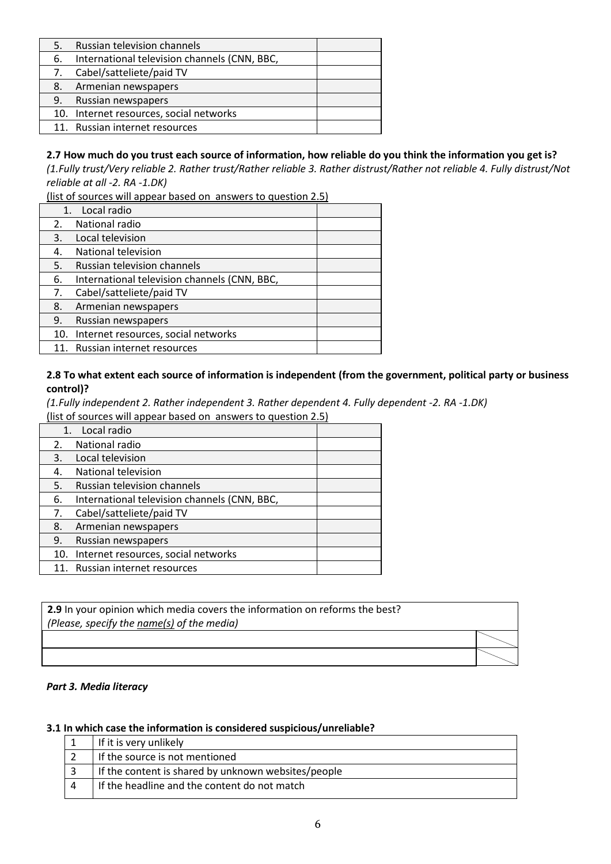| 5. | Russian television channels                  |  |
|----|----------------------------------------------|--|
| 6. | International television channels (CNN, BBC, |  |
|    | Cabel/satteliete/paid TV                     |  |
| 8. | Armenian newspapers                          |  |
| 9. | Russian newspapers                           |  |
|    | 10. Internet resources, social networks      |  |
|    | 11. Russian internet resources               |  |

## **2.7 How much do you trust each source of information, how reliable do you think the information you get is?**

*(1.Fully trust/Very reliable 2. Rather trust/Rather reliable 3. Rather distrust/Rather not reliable 4. Fully distrust/Not reliable at all -2. RA -1.DK)*

(list of sources will appear based on answers to question 2.5)

| 1.  | Local radio                                  |  |
|-----|----------------------------------------------|--|
| 2.  | National radio                               |  |
| 3.  | Local television                             |  |
| 4.  | National television                          |  |
| 5.  | Russian television channels                  |  |
| 6.  | International television channels (CNN, BBC, |  |
| 7.  | Cabel/satteliete/paid TV                     |  |
| 8.  | Armenian newspapers                          |  |
| 9.  | Russian newspapers                           |  |
| 10. | Internet resources, social networks          |  |
| 11. | Russian internet resources                   |  |

## **2.8 To what extent each source of information is independent (from the government, political party or business control)?**

*(1.Fully independent 2. Rather independent 3. Rather dependent 4. Fully dependent -2. RA -1.DK)* (list of sources will appear based on answers to question 2.5)

| $\mathbf{1}$ . | Local radio                                  |  |
|----------------|----------------------------------------------|--|
| 2.             | National radio                               |  |
| 3.             | Local television                             |  |
| 4.             | National television                          |  |
| 5.             | Russian television channels                  |  |
| 6.             | International television channels (CNN, BBC, |  |
| 7.             | Cabel/satteliete/paid TV                     |  |
| 8.             | Armenian newspapers                          |  |
| 9.             | Russian newspapers                           |  |
| 10.            | Internet resources, social networks          |  |
|                | Russian internet resources                   |  |

**2.9** In your opinion which media covers the information on reforms the best? *(Please, specify the name(s) of the media)*

#### *Part 3. Media literacy*

#### **3.1 In which case the information is considered suspicious/unreliable?**

| If it is very unlikely                              |
|-----------------------------------------------------|
| If the source is not mentioned                      |
| If the content is shared by unknown websites/people |
| If the headline and the content do not match        |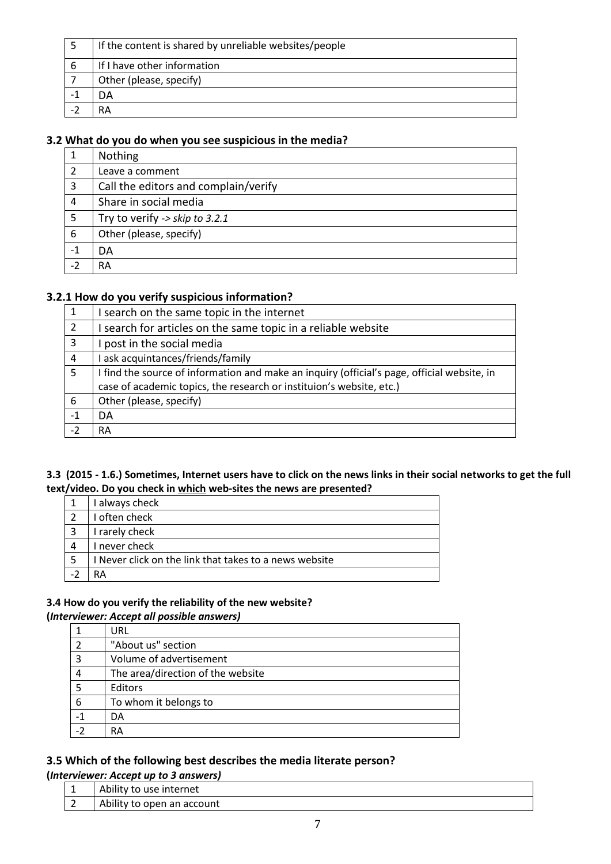| -5             | If the content is shared by unreliable websites/people |
|----------------|--------------------------------------------------------|
| 6              | If I have other information                            |
| $\overline{7}$ | Other (please, specify)                                |
|                | DA                                                     |
|                | RА                                                     |

## **3.2 What do you do when you see suspicious in the media?**

|      | Nothing                              |
|------|--------------------------------------|
| 2    | Leave a comment                      |
| 3    | Call the editors and complain/verify |
| 4    | Share in social media                |
| 5    | Try to verify -> skip to 3.2.1       |
| 6    | Other (please, specify)              |
| $-1$ | DA                                   |
| $-2$ | RA                                   |

## **3.2.1 How do you verify suspicious information?**

|                | search on the same topic in the internet                                                    |
|----------------|---------------------------------------------------------------------------------------------|
| 2              | search for articles on the same topic in a reliable website                                 |
| $\overline{3}$ | post in the social media                                                                    |
| $\overline{4}$ | ask acquintances/friends/family                                                             |
| -5             | I find the source of information and make an inquiry (official's page, official website, in |
|                | case of academic topics, the research or instituion's website, etc.)                        |
| - 6            | Other (please, specify)                                                                     |
| $-1$           | DA                                                                                          |
|                | RA                                                                                          |

### **3.3 (2015 - 1.6.) Sometimes, Internet users have to click on the news links in their social networks to get the full text/video. Do you check in which web-sites the news are presented?**

| 1              | I always check                                         |
|----------------|--------------------------------------------------------|
| $\overline{2}$ | I often check                                          |
| 3              | I rarely check                                         |
| 4              | I never check                                          |
| 5              | I Never click on the link that takes to a news website |
| $-2$           | RА                                                     |
|                |                                                        |

## **3.4 How do you verify the reliability of the new website?**

## **(***Interviewer: Аccept all possible answers)*

|      | URL                               |
|------|-----------------------------------|
| 2    | "About us" section                |
| 3    | Volume of advertisement           |
| 4    | The area/direction of the website |
| -5   | Editors                           |
| 6    | To whom it belongs to             |
| $-1$ | DA                                |
| $-2$ | RA                                |

## **3.5 Which of the following best describes the media literate person? (***Interviewer: Accept up to 3 answers)*

| - | Ability to use internet    |
|---|----------------------------|
| - | Ability to open an account |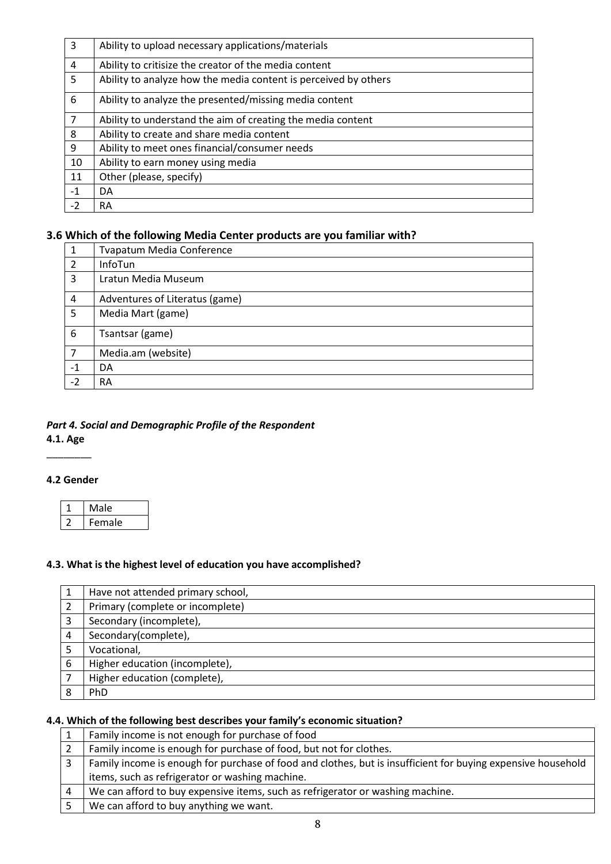| $\overline{3}$ | Ability to upload necessary applications/materials              |
|----------------|-----------------------------------------------------------------|
| 4              | Ability to critisize the creator of the media content           |
| 5              | Ability to analyze how the media content is perceived by others |
| 6              | Ability to analyze the presented/missing media content          |
| 7              | Ability to understand the aim of creating the media content     |
| 8              | Ability to create and share media content                       |
| 9              | Ability to meet ones financial/consumer needs                   |
| 10             | Ability to earn money using media                               |
| 11             | Other (please, specify)                                         |
| $-1$           | DA                                                              |
| $-2$           | <b>RA</b>                                                       |

# **3.6 Which of the following Media Center products are you familiar with?**

| $\mathbf 1$ | <b>Tvapatum Media Conference</b> |
|-------------|----------------------------------|
| 2           | InfoTun                          |
| 3           | Lratun Media Museum              |
| 4           | Adventures of Literatus (game)   |
| 5           | Media Mart (game)                |
| 6           | Tsantsar (game)                  |
| 7           | Media.am (website)               |
| $-1$        | DA                               |
| $-2$        | <b>RA</b>                        |

## *Part 4. Social and Demographic Profile of the Respondent*

**4.1. Age** \_\_\_\_\_\_\_\_

## **4.2 Gender**

| Male   |
|--------|
| Female |

## **4.3. What is the highest level of education you have accomplished?**

| 1 | Have not attended primary school, |
|---|-----------------------------------|
| 2 | Primary (complete or incomplete)  |
| 3 | Secondary (incomplete),           |
| 4 | Secondary(complete),              |
|   | Vocational,                       |
| 6 | Higher education (incomplete),    |
|   | Higher education (complete),      |
| 8 | PhD                               |

## **4.4. Which of the following best describes your family's economic situation?**

|   | Family income is not enough for purchase of food                                                             |
|---|--------------------------------------------------------------------------------------------------------------|
| 2 | Family income is enough for purchase of food, but not for clothes.                                           |
|   | Family income is enough for purchase of food and clothes, but is insufficient for buying expensive household |
|   | items, such as refrigerator or washing machine.                                                              |
| 4 | We can afford to buy expensive items, such as refrigerator or washing machine.                               |
|   | We can afford to buy anything we want.                                                                       |
|   |                                                                                                              |